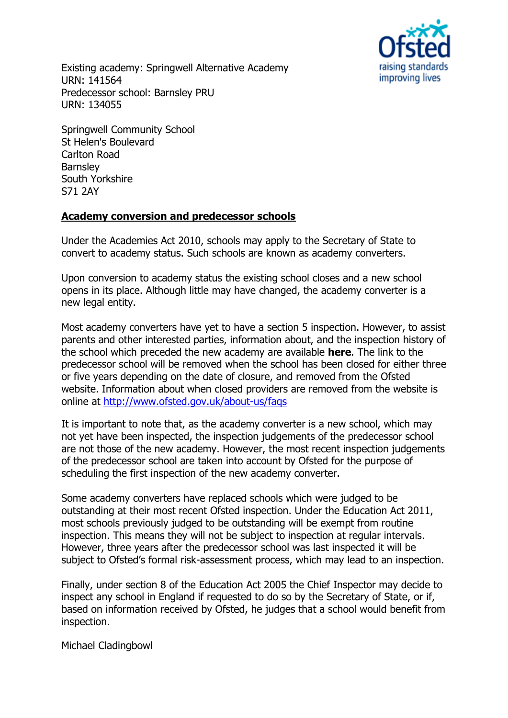Existing academy: Springwell Alternative Academy URN: 141564 Predecessor school: Barnsley PRU URN: 134055



Springwell Community School St Helen's Boulevard Carlton Road **Barnsley** South Yorkshire S71 2AY

## **Academy conversion and predecessor schools**

Under the Academies Act 2010, schools may apply to the Secretary of State to convert to academy status. Such schools are known as academy converters.

Upon conversion to academy status the existing school closes and a new school opens in its place. Although little may have changed, the academy converter is a new legal entity.

Most academy converters have yet to have a section 5 inspection. However, to assist parents and other interested parties, information about, and the inspection history of the school which preceded the new academy are available **[here](http://www.ofsted.gov.uk/inspection-reports/find-inspection-report/provider/ELS/134055)**. The link to the predecessor school will be removed when the school has been closed for either three or five years depending on the date of closure, and removed from the Ofsted website. Information about when closed providers are removed from the website is online at<http://www.ofsted.gov.uk/about-us/faqs>

It is important to note that, as the academy converter is a new school, which may not yet have been inspected, the inspection judgements of the predecessor school are not those of the new academy. However, the most recent inspection judgements of the predecessor school are taken into account by Ofsted for the purpose of scheduling the first inspection of the new academy converter.

Some academy converters have replaced schools which were judged to be outstanding at their most recent Ofsted inspection. Under the Education Act 2011, most schools previously judged to be outstanding will be exempt from routine inspection. This means they will not be subject to inspection at regular intervals. However, three years after the predecessor school was last inspected it will be subject to Ofsted's formal risk-assessment process, which may lead to an inspection.

Finally, under section 8 of the Education Act 2005 the Chief Inspector may decide to inspect any school in England if requested to do so by the Secretary of State, or if, based on information received by Ofsted, he judges that a school would benefit from inspection.

Michael Cladingbowl